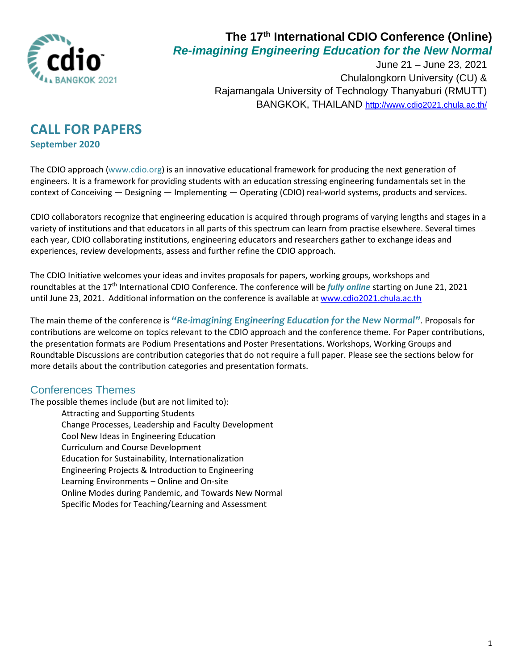

June 21 – June 23, 2021 Chulalongkorn University (CU) & Rajamangala University of Technology Thanyaburi (RMUTT) BANGKOK, THAILAND <http://www.cdio2021.chula.ac.th/>

## **CALL FOR PAPERS September 2020**

The CDIO approach [\(www.cdio.org](http://www.cdio.org/)) is an innovative educational framework for producing the next generation of engineers. It is a framework for providing students with an education stressing engineering fundamentals set in the context of Conceiving — Designing — Implementing — Operating (CDIO) real-world systems, products and services.

CDIO collaborators recognize that engineering education is acquired through programs of varying lengths and stages in a variety of institutions and that educators in all parts of this spectrum can learn from practise elsewhere. Several times each year, CDIO collaborating institutions, engineering educators and researchers gather to exchange ideas and experiences, review developments, assess and further refine the CDIO approach.

The CDIO Initiative welcomes your ideas and invites proposals for papers, working groups, workshops and roundtables at the 17th International CDIO Conference. The conference will be *fully online* starting on June 21, 2021 until June 23, 2021. Additional information on the conference is available at [www.cdio2021.chula.ac.th](http://www.cdio2021.chula.ac.th/)

The main theme of the conference is *"Re-imagining Engineering Education for the New Normal"*. Proposals for contributions are welcome on topics relevant to the CDIO approach and the conference theme. For Paper contributions, the presentation formats are Podium Presentations and Poster Presentations. Workshops, Working Groups and Roundtable Discussions are contribution categories that do not require a full paper. Please see the sections below for more details about the contribution categories and presentation formats.

#### Conferences Themes

The possible themes include (but are not limited to):

Attracting and Supporting Students Change Processes, Leadership and Faculty Development Cool New Ideas in Engineering Education Curriculum and Course Development Education for Sustainability, Internationalization Engineering Projects & Introduction to Engineering Learning Environments – Online and On-site Online Modes during Pandemic, and Towards New Normal Specific Modes for Teaching/Learning and Assessment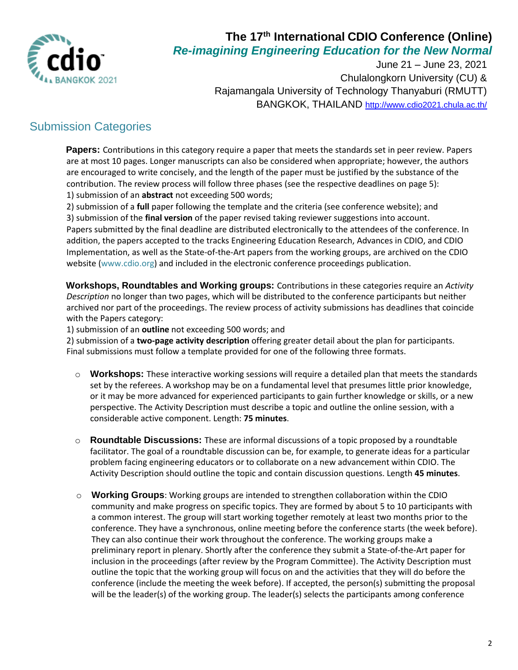

June 21 – June 23, 2021 Chulalongkorn University (CU) & Rajamangala University of Technology Thanyaburi (RMUTT) BANGKOK, THAILAND <http://www.cdio2021.chula.ac.th/>

## Submission Categories

**Papers:** Contributions in this category require a paper that meets the standards set in peer review. Papers are at most 10 pages. Longer manuscripts can also be considered when appropriate; however, the authors are encouraged to write concisely, and the length of the paper must be justified by the substance of the contribution. The review process will follow three phases (see the respective deadlines on page 5): 1) submission of an **abstract** not exceeding 500 words;

2) submission of a **full** paper following the template and the criteria (see conference website); and

3) submission of the **final version** of the paper revised taking reviewer suggestions into account. Papers submitted by the final deadline are distributed electronically to the attendees of the conference. In addition, the papers accepted to the tracks Engineering Education Research, Advances in CDIO, and CDIO Implementation, as well as the State-of-the-Art papers from the working groups, are archived on the CDIO website [\(www.cdio.org\)](http://www.cdio.org/) and included in the electronic conference proceedings publication.

**Workshops, Roundtables and Working groups:** Contributions in these categories require an *Activity Description* no longer than two pages, which will be distributed to the conference participants but neither archived nor part of the proceedings. The review process of activity submissions has deadlines that coincide with the Papers category:

1) submission of an **outline** not exceeding 500 words; and

2) submission of a **two-page activity description** offering greater detail about the plan for participants. Final submissions must follow a template provided for one of the following three formats.

- **Workshops:** These interactive working sessions will require a detailed plan that meets the standards set by the referees. A workshop may be on a fundamental level that presumes little prior knowledge, or it may be more advanced for experienced participants to gain further knowledge or skills, or a new perspective. The Activity Description must describe a topic and outline the online session, with a considerable active component. Length: **75 minutes**.
- o **Roundtable Discussions:** These are informal discussions of a topic proposed by a roundtable facilitator. The goal of a roundtable discussion can be, for example, to generate ideas for a particular problem facing engineering educators or to collaborate on a new advancement within CDIO. The Activity Description should outline the topic and contain discussion questions. Length **45 minutes**.
- o **Working Groups**: Working groups are intended to strengthen collaboration within the CDIO community and make progress on specific topics. They are formed by about 5 to 10 participants with a common interest. The group will start working together remotely at least two months prior to the conference. They have a synchronous, online meeting before the conference starts (the week before). They can also continue their work throughout the conference. The working groups make a preliminary report in plenary. Shortly after the conference they submit a State-of-the-Art paper for inclusion in the proceedings (after review by the Program Committee). The Activity Description must outline the topic that the working group will focus on and the activities that they will do before the conference (include the meeting the week before). If accepted, the person(s) submitting the proposal will be the leader(s) of the working group. The leader(s) selects the participants among conference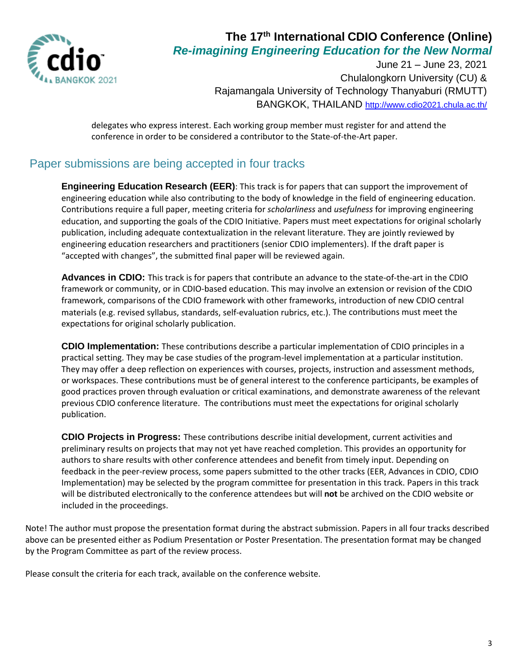

June 21 – June 23, 2021 Chulalongkorn University (CU) & Rajamangala University of Technology Thanyaburi (RMUTT) BANGKOK, THAILAND <http://www.cdio2021.chula.ac.th/>

delegates who express interest. Each working group member must register for and attend the conference in order to be considered a contributor to the State-of-the-Art paper.

### Paper submissions are being accepted in four tracks

**Engineering Education Research (EER)**: This track is for papers that can support the improvement of engineering education while also contributing to the body of knowledge in the field of engineering education. Contributions require a full paper, meeting criteria for *scholarliness* and *usefulness* for improving engineering education, and supporting the goals of the CDIO Initiative. Papers must meet expectations for original scholarly publication, including adequate contextualization in the relevant literature. They are jointly reviewed by engineering education researchers and practitioners (senior CDIO implementers). If the draft paper is "accepted with changes", the submitted final paper will be reviewed again.

**Advances in CDIO:** This track is for papers that contribute an advance to the state-of-the-art in the CDIO framework or community, or in CDIO‐based education. This may involve an extension or revision of the CDIO framework, comparisons of the CDIO framework with other frameworks, introduction of new CDIO central materials (e.g. revised syllabus, standards, self‐evaluation rubrics, etc.). The contributions must meet the expectations for original scholarly publication.

**CDIO Implementation:** These contributions describe a particular implementation of CDIO principles in a practical setting. They may be case studies of the program-level implementation at a particular institution. They may offer a deep reflection on experiences with courses, projects, instruction and assessment methods, or workspaces. These contributions must be of general interest to the conference participants, be examples of good practices proven through evaluation or critical examinations, and demonstrate awareness of the relevant previous CDIO conference literature. The contributions must meet the expectations for original scholarly publication.

**CDIO Projects in Progress:** These contributions describe initial development, current activities and preliminary results on projects that may not yet have reached completion. This provides an opportunity for authors to share results with other conference attendees and benefit from timely input. Depending on feedback in the peer-review process, some papers submitted to the other tracks (EER, Advances in CDIO, CDIO Implementation) may be selected by the program committee for presentation in this track. Papers in this track will be distributed electronically to the conference attendees but will **not** be archived on the CDIO website or included in the proceedings.

Note! The author must propose the presentation format during the abstract submission. Papers in all four tracks described above can be presented either as Podium Presentation or Poster Presentation. The presentation format may be changed by the Program Committee as part of the review process.

Please consult the criteria for each track, available on the conference website.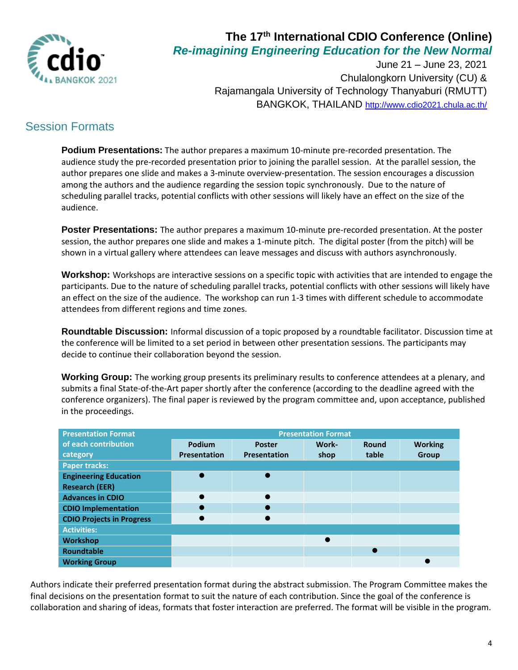

June 21 – June 23, 2021 Chulalongkorn University (CU) & Rajamangala University of Technology Thanyaburi (RMUTT) BANGKOK, THAILAND <http://www.cdio2021.chula.ac.th/>

## Session Formats

**Podium Presentations:** The author prepares a maximum 10-minute pre-recorded presentation. The audience study the pre-recorded presentation prior to joining the parallel session. At the parallel session, the author prepares one slide and makes a 3-minute overview-presentation. The session encourages a discussion among the authors and the audience regarding the session topic synchronously. Due to the nature of scheduling parallel tracks, potential conflicts with other sessions will likely have an effect on the size of the audience.

**Poster Presentations:** The author prepares a maximum 10-minute pre-recorded presentation. At the poster session, the author prepares one slide and makes a 1-minute pitch. The digital poster (from the pitch) will be shown in a virtual gallery where attendees can leave messages and discuss with authors asynchronously.

**Workshop:** Workshops are interactive sessions on a specific topic with activities that are intended to engage the participants. Due to the nature of scheduling parallel tracks, potential conflicts with other sessions will likely have an effect on the size of the audience. The workshop can run 1-3 times with different schedule to accommodate attendees from different regions and time zones.

**Roundtable Discussion:** Informal discussion of a topic proposed by a roundtable facilitator. Discussion time at the conference will be limited to a set period in between other presentation sessions. The participants may decide to continue their collaboration beyond the session.

**Working Group:** The working group presents its preliminary results to conference attendees at a plenary, and submits a final State-of-the-Art paper shortly after the conference (according to the deadline agreed with the conference organizers). The final paper is reviewed by the program committee and, upon acceptance, published in the proceedings.

| <b>Presentation Format</b>       | <b>Presentation Format</b> |                     |       |       |                |  |  |
|----------------------------------|----------------------------|---------------------|-------|-------|----------------|--|--|
| of each contribution             | Podium                     | <b>Poster</b>       | Work- | Round | <b>Working</b> |  |  |
| category                         | Presentation               | <b>Presentation</b> | shop  | table | Group          |  |  |
| Paper tracks:                    |                            |                     |       |       |                |  |  |
| <b>Engineering Education</b>     | $\bullet$                  |                     |       |       |                |  |  |
| <b>Research (EER)</b>            |                            |                     |       |       |                |  |  |
| <b>Advances in CDIO</b>          | $\bullet$                  |                     |       |       |                |  |  |
| <b>CDIO</b> Implementation       | $\bullet$                  |                     |       |       |                |  |  |
| <b>CDIO Projects in Progress</b> | $\bullet$                  |                     |       |       |                |  |  |
| <b>Activities:</b>               |                            |                     |       |       |                |  |  |
| <b>Workshop</b>                  |                            |                     |       |       |                |  |  |
| <b>Roundtable</b>                |                            |                     |       |       |                |  |  |
| <b>Working Group</b>             |                            |                     |       |       |                |  |  |

Authors indicate their preferred presentation format during the abstract submission. The Program Committee makes the final decisions on the presentation format to suit the nature of each contribution. Since the goal of the conference is collaboration and sharing of ideas, formats that foster interaction are preferred. The format will be visible in the program.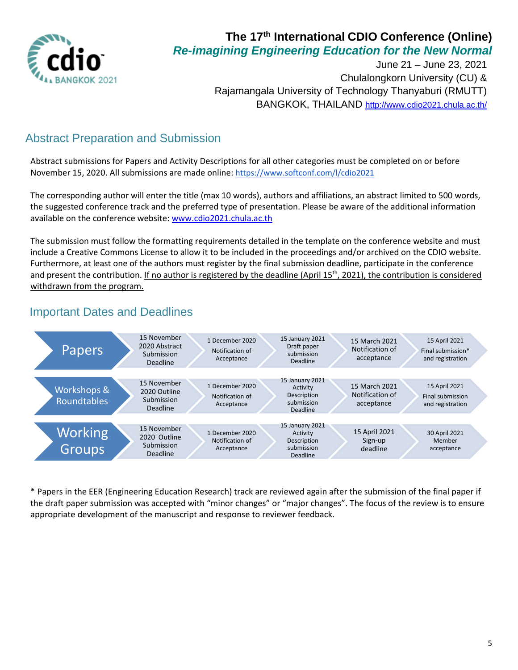

June 21 – June 23, 2021 Chulalongkorn University (CU) & Rajamangala University of Technology Thanyaburi (RMUTT) BANGKOK, THAILAND <http://www.cdio2021.chula.ac.th/>

# Abstract Preparation and Submission

Abstract submissions for Papers and Activity Descriptions for all other categories must be completed on or before November 15, 2020. All submissions are made online: <https://www.softconf.com/l/cdio2021>

The corresponding author will enter the title (max 10 words), authors and affiliations, an abstract limited to 500 words, the suggested conference track and the preferred type of presentation. Please be aware of the additional information available on the conference website: [www.cdio2021.chula.ac.th](http://www.cdio2021.chula.ac.th/)

The submission must follow the formatting requirements detailed in the template on the conference website and must include a Creative Commons License to allow it to be included in the proceedings and/or archived on the CDIO website. Furthermore, at least one of the authors must register by the final submission deadline, participate in the conference and present the contribution. If no author is registered by the deadline (April  $15<sup>th</sup>$ , 2021), the contribution is considered withdrawn from the program.

### Important Dates and Deadlines



\* Papers in the EER (Engineering Education Research) track are reviewed again after the submission of the final paper if the draft paper submission was accepted with "minor changes" or "major changes". The focus of the review is to ensure appropriate development of the manuscript and response to reviewer feedback.